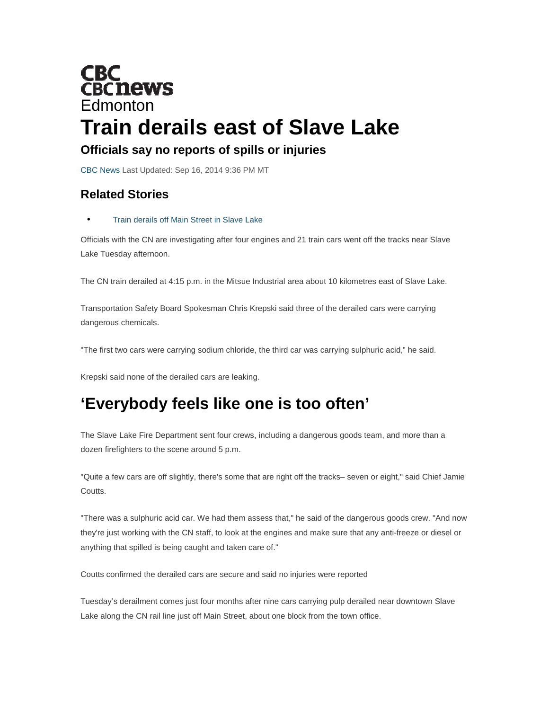

## **Officials say no reports of spills or injuries**

CBC News Last Updated: Sep 16, 2014 9:36 PM MT

## **Related Stories**

## • Train derails off Main Street in Slave Lake

Officials with the CN are investigating after four engines and 21 train cars went off the tracks near Slave Lake Tuesday afternoon.

The CN train derailed at 4:15 p.m. in the Mitsue Industrial area about 10 kilometres east of Slave Lake.

Transportation Safety Board Spokesman Chris Krepski said three of the derailed cars were carrying dangerous chemicals.

"The first two cars were carrying sodium chloride, the third car was carrying sulphuric acid," he said.

Krepski said none of the derailed cars are leaking.

## **'Everybody feels like one is too often'**

The Slave Lake Fire Department sent four crews, including a dangerous goods team, and more than a dozen firefighters to the scene around 5 p.m.

"Quite a few cars are off slightly, there's some that are right off the tracks– seven or eight," said Chief Jamie Coutts.

"There was a sulphuric acid car. We had them assess that," he said of the dangerous goods crew. "And now they're just working with the CN staff, to look at the engines and make sure that any anti-freeze or diesel or anything that spilled is being caught and taken care of."

Coutts confirmed the derailed cars are secure and said no injuries were reported

Tuesday's derailment comes just four months after nine cars carrying pulp derailed near downtown Slave Lake along the CN rail line just off Main Street, about one block from the town office.